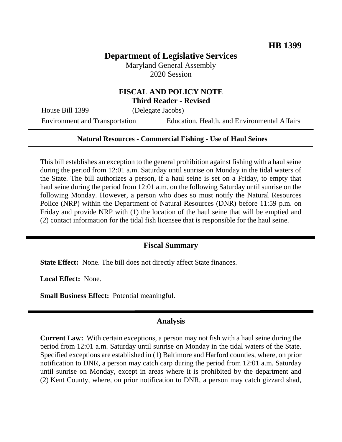# **Department of Legislative Services**

Maryland General Assembly 2020 Session

### **FISCAL AND POLICY NOTE Third Reader - Revised**

House Bill 1399 (Delegate Jacobs)

Environment and Transportation Education, Health, and Environmental Affairs

#### **Natural Resources - Commercial Fishing - Use of Haul Seines**

This bill establishes an exception to the general prohibition against fishing with a haul seine during the period from 12:01 a.m. Saturday until sunrise on Monday in the tidal waters of the State. The bill authorizes a person, if a haul seine is set on a Friday, to empty that haul seine during the period from 12:01 a.m. on the following Saturday until sunrise on the following Monday. However, a person who does so must notify the Natural Resources Police (NRP) within the Department of Natural Resources (DNR) before 11:59 p.m. on Friday and provide NRP with (1) the location of the haul seine that will be emptied and (2) contact information for the tidal fish licensee that is responsible for the haul seine.

#### **Fiscal Summary**

**State Effect:** None. The bill does not directly affect State finances.

**Local Effect:** None.

**Small Business Effect:** Potential meaningful.

#### **Analysis**

**Current Law:** With certain exceptions, a person may not fish with a haul seine during the period from 12:01 a.m. Saturday until sunrise on Monday in the tidal waters of the State. Specified exceptions are established in (1) Baltimore and Harford counties, where, on prior notification to DNR, a person may catch carp during the period from 12:01 a.m. Saturday until sunrise on Monday, except in areas where it is prohibited by the department and (2) Kent County, where, on prior notification to DNR, a person may catch gizzard shad,